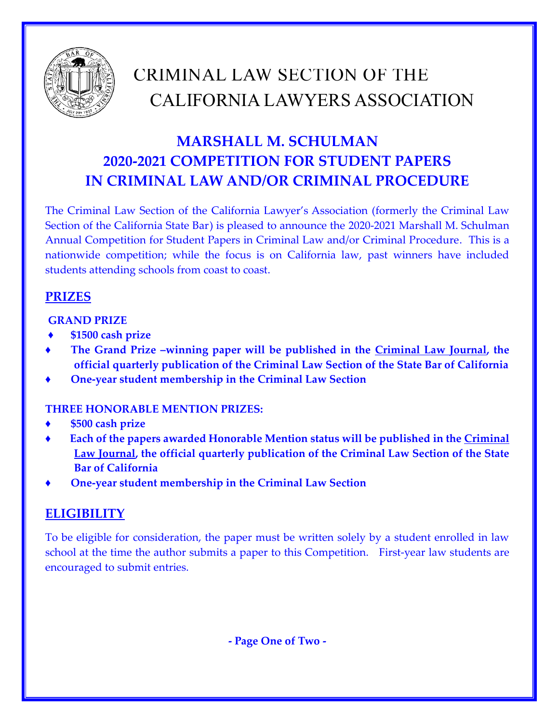

# CRIMINAL LAW SECTION OF THE CALIFORNIA LAWYERS ASSOCIATION

# **MARSHALL M. SCHULMAN 2020-2021 COMPETITION FOR STUDENT PAPERS IN CRIMINAL LAW AND/OR CRIMINAL PROCEDURE**

The Criminal Law Section of the California Lawyer's Association (formerly the Criminal Law Section of the California State Bar) is pleased to announce the 2020-2021 Marshall M. Schulman Annual Competition for Student Papers in Criminal Law and/or Criminal Procedure. This is a nationwide competition; while the focus is on California law, past winners have included students attending schools from coast to coast.

### **PRIZES**

#### **GRAND PRIZE**

- **♦ \$1500 cash prize**
- The Grand Prize -winning paper will be published in the **Criminal Law Journal**, the **official quarterly publication of the Criminal Law Section of the State Bar of California**
- **♦ One-year student membership in the Criminal Law Section**

#### **THREE HONORABLE MENTION PRIZES:**

- **♦ \$500 cash prize**
- Each of the papers awarded Honorable Mention status will be published in the Criminal **Law Journal, the official quarterly publication of the Criminal Law Section of the State Bar of California**
- **♦ One-year student membership in the Criminal Law Section**

## **ELIGIBILITY**

To be eligible for consideration, the paper must be written solely by a student enrolled in law school at the time the author submits a paper to this Competition. First-year law students are encouraged to submit entries.

**- Page One of Two -**